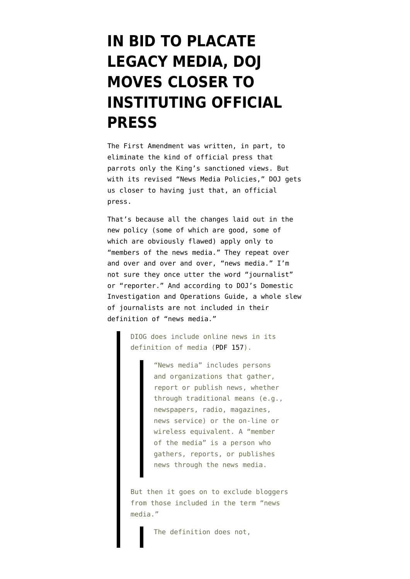## **[IN BID TO PLACATE](https://www.emptywheel.net/2013/07/12/in-bid-to-placate-legacy-media-doj-moves-closer-to-instituting-official-press/) [LEGACY MEDIA, DOJ](https://www.emptywheel.net/2013/07/12/in-bid-to-placate-legacy-media-doj-moves-closer-to-instituting-official-press/) [MOVES CLOSER TO](https://www.emptywheel.net/2013/07/12/in-bid-to-placate-legacy-media-doj-moves-closer-to-instituting-official-press/) [INSTITUTING OFFICIAL](https://www.emptywheel.net/2013/07/12/in-bid-to-placate-legacy-media-doj-moves-closer-to-instituting-official-press/) [PRESS](https://www.emptywheel.net/2013/07/12/in-bid-to-placate-legacy-media-doj-moves-closer-to-instituting-official-press/)**

The First Amendment was written, in part, to eliminate the kind of official press that parrots only the King's sanctioned views. But with its revised "[News Media Policies](http://www.justice.gov/iso/opa/resources/2202013712162851796893.pdf)," DOJ gets us closer to having just that, an official press.

That's because all the changes laid out in the new policy (some of which are good, some of which are obviously flawed) apply only to "members of the news media." They repeat over and over and over and over, "news media." I'm not sure they once utter the word "journalist" or "reporter." And according to DOJ's Domestic Investigation and Operations Guide, a whole slew of journalists [are not included](http://www.emptywheel.net/2011/12/09/doj-doesnt-think-bloggers-are-media-either-and-it-may-use-nsls-to-get-media-call-records/) in their definition of "news media."

> DIOG does include online news in its definition of media ([PDF 157](http://www.emptywheel.net/wp-content/uploads/2011/12/111015-DIOG-03-of-03.pdf)).

> > "News media" includes persons and organizations that gather, report or publish news, whether through traditional means (e.g., newspapers, radio, magazines, news service) or the on-line or wireless equivalent. A "member of the media" is a person who gathers, reports, or publishes news through the news media.

But then it goes on to exclude bloggers from those included in the term "news media."

The definition does not,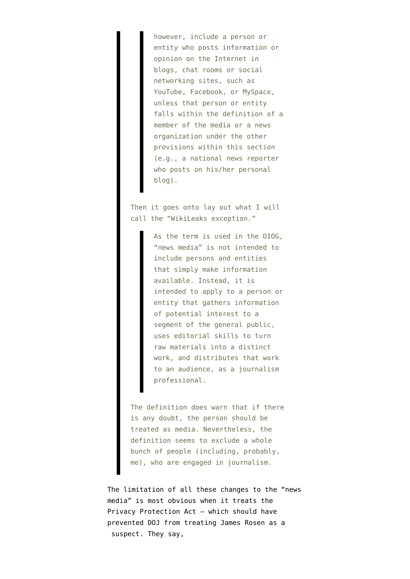however, include a person or entity who posts information or opinion on the Internet in blogs, chat rooms or social networking sites, such as YouTube, Facebook, or MySpace, unless that person or entity falls within the definition of a member of the media or a news organization under the other provisions within this section (e.g., a national news reporter who posts on his/her personal blog).

Then it goes onto lay out what I will call the "WikiLeaks exception."

> As the term is used in the DIOG, "news media" is not intended to include persons and entities that simply make information available. Instead, it is intended to apply to a person or entity that gathers information of potential interest to a segment of the general public, uses editorial skills to turn raw materials into a distinct work, and distributes that work to an audience, as a journalism professional.

The definition does warn that if there is any doubt, the person should be treated as media. Nevertheless, the definition seems to exclude a whole bunch of people (including, probably, me), who are engaged in journalism.

The limitation of all these changes to the "news media" is most obvious when it treats the Privacy Protection Act — which should have prevented DOJ from treating James Rosen as a suspect. They say,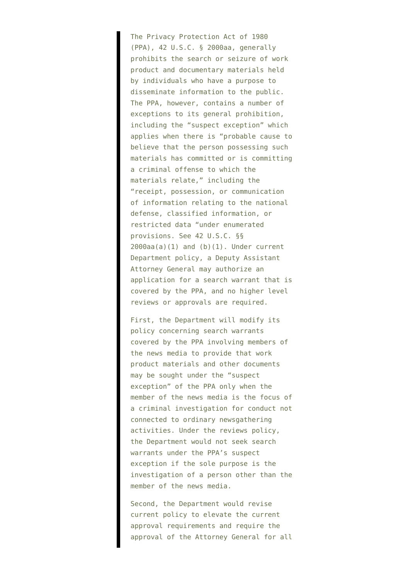The Privacy Protection Act of 1980 (PPA), 42 U.S.C. § 2000aa, generally prohibits the search or seizure of work product and documentary materials held by individuals who have a purpose to disseminate information to the public. The PPA, however, contains a number of exceptions to its general prohibition, including the "suspect exception" which applies when there is "probable cause to believe that the person possessing such materials has committed or is committing a criminal offense to which the materials relate," including the "receipt, possession, or communication of information relating to the national defense, classified information, or restricted data "under enumerated provisions. See 42 U.S.C. §§ 2000aa(a)(1) and (b)(1). Under current Department policy, a Deputy Assistant Attorney General may authorize an application for a search warrant that is covered by the PPA, and no higher level reviews or approvals are required.

First, the Department will modify its policy concerning search warrants covered by the PPA involving members of the news media to provide that work product materials and other documents may be sought under the "suspect exception" of the PPA only when the member of the news media is the focus of a criminal investigation for conduct not connected to ordinary newsgathering activities. Under the reviews policy, the Department would not seek search warrants under the PPA's suspect exception if the sole purpose is the investigation of a person other than the member of the news media.

Second, the Department would revise current policy to elevate the current approval requirements and require the approval of the Attorney General for all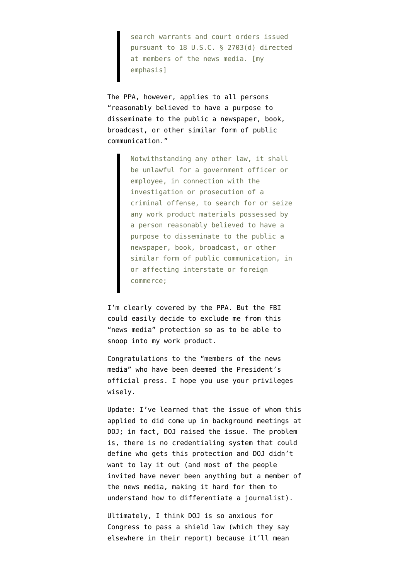search warrants and court orders issued pursuant to 18 U.S.C. § 2703(d) directed at members of the news media. [my emphasis]

The PPA, however, [applies](http://www.law.cornell.edu/uscode/text/42/2000aa) to all persons "reasonably believed to have a purpose to disseminate to the public a newspaper, book, broadcast, or other similar form of public communication."

> Notwithstanding any other law, it shall be unlawful for a government officer or employee, in connection with the investigation or prosecution of a criminal offense, to search for or seize any work product materials possessed by a person reasonably believed to have a purpose to disseminate to the public a newspaper, book, broadcast, or other similar form of public communication, in or affecting interstate or foreign commerce;

I'm clearly covered by the PPA. But the FBI could easily decide to exclude me from this "news media" protection so as to be able to snoop into my work product.

Congratulations to the "members of the news media" who have been deemed the President's official press. I hope you use your privileges wisely.

Update: I've learned that the issue of whom this applied to did come up in background meetings at DOJ; in fact, DOJ raised the issue. The problem is, there is no credentialing system that could define who gets this protection and DOJ didn't want to lay it out (and most of the people invited have never been anything but a member of the news media, making it hard for them to understand how to differentiate a journalist).

Ultimately, I think DOJ is so anxious for Congress to pass a shield law (which they say elsewhere in their report) because it'll mean